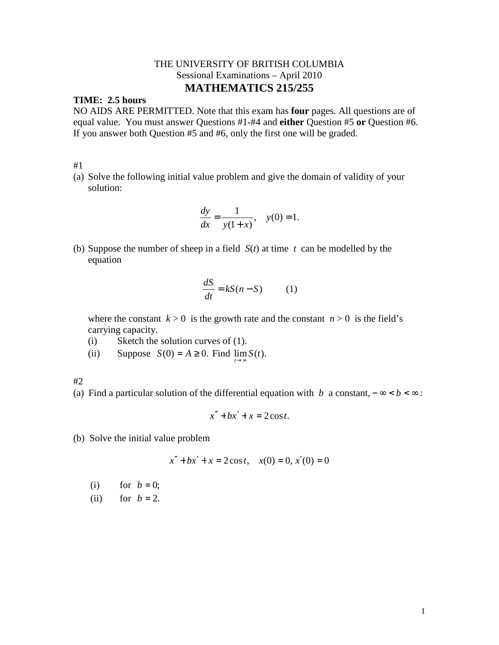## THE UNIVERSITY OF BRITISH COLUMBIA Sessional Examinations – April 2010 **MATHEMATICS 215/255**

### **TIME: 2.5 hours**

NO AIDS ARE PERMITTED. Note that this exam has **four** pages. All questions are of equal value. You must answer Questions #1-#4 and **either** Question #5 **or** Question #6. If you answer both Question #5 and #6, only the first one will be graded.

#1

(a) Solve the following initial value problem and give the domain of validity of your solution:

$$
\frac{dy}{dx} = \frac{1}{y(1+x)}, \quad y(0) = 1.
$$

(b) Suppose the number of sheep in a field *S*(*t*) at time *t* can be modelled by the equation

$$
\frac{dS}{dt} = kS(n - S) \tag{1}
$$

where the constant  $k > 0$  is the growth rate and the constant  $n > 0$  is the field's carrying capacity.

- (i) Sketch the solution curves of (1).
- (ii) Suppose  $S(0) = A \ge 0$ . Find  $\lim S(t)$ . *t*→∞

#2

(a) Find a particular solution of the differential equation with *b* a constant,  $-\infty < b < \infty$ :

$$
x'' + bx' + x = 2\cos t.
$$

(b) Solve the initial value problem

$$
x'' + bx' + x = 2\cos t, \quad x(0) = 0, \ x'(0) = 0
$$

(i) for  $b = 0$ ;

(ii) for  $b = 2$ .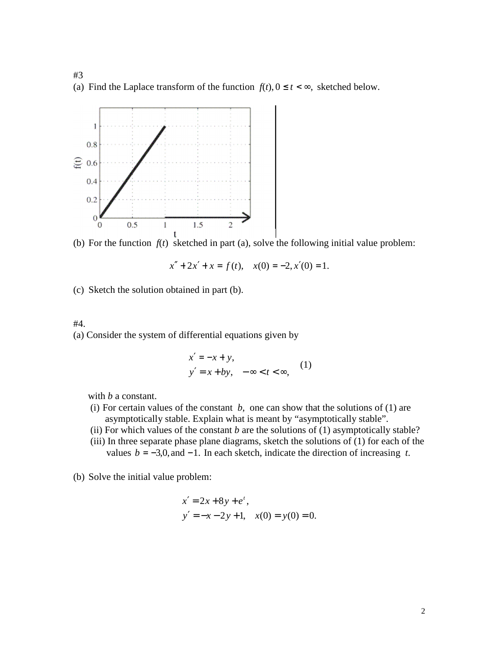#3 (a) Find the Laplace transform of the function  $f(t)$ ,  $0 \le t < \infty$ , sketched below.



(b) For the function  $f(t)$  sketched in part (a), solve the following initial value problem:

$$
x'' + 2x' + x = f(t),
$$
  $x(0) = -2, x'(0) = 1.$ 

(c) Sketch the solution obtained in part (b).

#### #4.

(a) Consider the system of differential equations given by

$$
x' = -x + y,
$$
  
\n
$$
y' = x + by, \quad -\infty < t < \infty,
$$
 (1)

with *b* a constant.

- (i) For certain values of the constant  $b$ , one can show that the solutions of (1) are asymptotically stable. Explain what is meant by "asymptotically stable".
- (ii) For which values of the constant  $b$  are the solutions of  $(1)$  asymptotically stable?
- (iii) In three separate phase plane diagrams, sketch the solutions of (1) for each of the values  $b = -3,0,$  and  $-1$ . In each sketch, indicate the direction of increasing *t*.
- (b) Solve the initial value problem:

$$
x' = 2x + 8y + e^{t},
$$
  
\n
$$
y' = -x - 2y + 1, \quad x(0) = y(0) = 0.
$$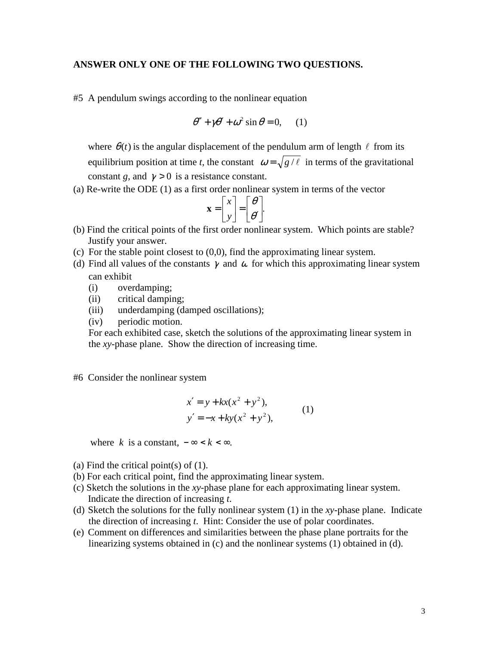#### **ANSWER ONLY ONE OF THE FOLLOWING TWO QUESTIONS.**

#5 A pendulum swings according to the nonlinear equation

$$
\theta'' + \gamma \theta' + \omega^2 \sin \theta = 0, \quad (1)
$$

where  $\theta(t)$  is the angular displacement of the pendulum arm of length  $\ell$  from its equilibrium position at time *t*, the constant  $\omega = \sqrt{g/\ell}$  in terms of the gravitational constant *g*, and  $\gamma > 0$  is a resistance constant.

(a) Re-write the ODE (1) as a first order nonlinear system in terms of the vector

$$
\mathbf{x} = \begin{bmatrix} x \\ y \end{bmatrix} = \begin{bmatrix} \theta \\ \theta' \end{bmatrix}.
$$

- (b) Find the critical points of the first order nonlinear system. Which points are stable? Justify your answer.
- (c) For the stable point closest to  $(0,0)$ , find the approximating linear system.
- (d) Find all values of the constants  $\gamma$  and  $\omega$  for which this approximating linear system can exhibit
	- (i) overdamping;
	- (ii) critical damping;
	- (iii) underdamping (damped oscillations);
	- (iv) periodic motion.

For each exhibited case, sketch the solutions of the approximating linear system in the *xy-*phase plane. Show the direction of increasing time.

#### #6 Consider the nonlinear system

$$
x' = y + kx(x^{2} + y^{2}),
$$
  
\n
$$
y' = -x + ky(x^{2} + y^{2}),
$$
\n(1)

where *k* is a constant,  $-\infty < k < \infty$ .

- (a) Find the critical point(s) of  $(1)$ .
- (b) For each critical point, find the approximating linear system.
- (c) Sketch the solutions in the *xy*-phase plane for each approximating linear system. Indicate the direction of increasing *t*.
- (d) Sketch the solutions for the fully nonlinear system (1) in the *xy*-phase plane. Indicate the direction of increasing *t*. Hint: Consider the use of polar coordinates.
- (e) Comment on differences and similarities between the phase plane portraits for the linearizing systems obtained in (c) and the nonlinear systems (1) obtained in (d).